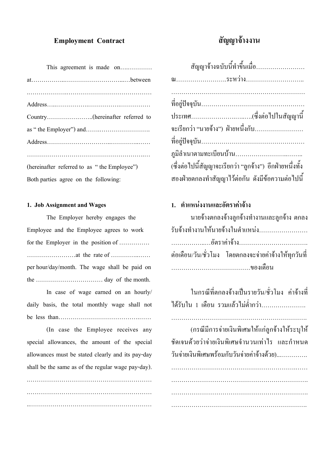### **Employment Contract**

#### **สัญญาจ างงาน** ׅ֚֡֜֝֬<br>֧֚֚֝

| This agreement is made on                   |
|---------------------------------------------|
|                                             |
|                                             |
|                                             |
|                                             |
|                                             |
|                                             |
|                                             |
| (hereinafter referred to as "the Employee") |
| Both parties agree on the following:        |

### **1. Job Assignment and Wages**

The Employer hereby engages the Employee and the Employee agrees to work for the Employer in the position of …………… ……………………at the rate of …………..…… per hour/day/month. The wage shall be paid on the …………………………… day of the month.

In case of wage earned on an hourly/ daily basis, the total monthly wage shall not be less than………………………………….……

(In case the Employee receives any special allowances, the amount of the special allowances must be stated clearly and its pay-day shall be the same as of the regular wage pay-day). .……………………………………………………

…………………………………………………………………………… ..……………………………………………………

| สัญญาจ้างฉบับนี้ทำขึ้นเมื่อ                               |
|-----------------------------------------------------------|
| ณระหว่าง                                                  |
|                                                           |
|                                                           |
| จะเรียกว่า "นายจ้าง")  ฝ่ายหนึ่งกับ……………………               |
|                                                           |
|                                                           |
| (ซึ่งต่อไปนี้สัญญาจะเรียกว่า "ถูกจ้าง")  อีกฝ่ายหนึ่งทั้ง |
| สองฝ่ายตกลงทำสัญญาไว้ต่อกัน ดังมีข้อความต่อไปนี้          |
|                                                           |

# **1. ตําแหนงงานและอัตราคาจาง**

| ้นายจ้างตกลงจ้างลูกจ้างทำงานและลูกจ้าง ตกลง            |
|--------------------------------------------------------|
| รับจ้างทำงานให้นายจ้างในตำแหน่ง                        |
|                                                        |
| ้ต่อเดือน/วัน/ชั่วโมง โดยตกลงจะจ่ายค่าจ้างให้ทุกวันที่ |
|                                                        |

ในกรณีที่ตกลงจ้างเป็นรายวัน/ชั่วโมง ค่าจ้างที่  $\overline{a}$ ใด้รับใน 1 เดือน รวมแล้วไม่ต่ำกว่า…………………

………………………………………………………….

(กรณีมีการจ่ายเงินพิเศษให้แก่ลูกจ้างให้ระบุให้ ชัดเจนด วยวาจายเงินพิเศษจํานวนเทาไร และกําหนด  $\overline{a}$ วันจ่ายเงินพิเศษพร้อมกับวันจ่ายค่าจ้างด้วย)................  $\overline{a}$  $\overline{a}$ 

…………………………………………………….……

………………………………………………………….

………………………………………………………….

………………………………………………………….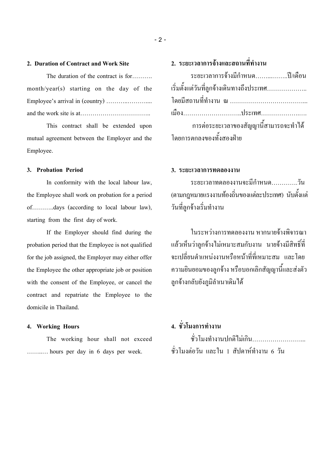### **2. Duration of Contract and Work Site**

The duration of the contract is for………. month/year(s) starting on the day of the Employee's arrival in (country) ………..……….... and the work site is at……………………………..

This contract shall be extended upon mutual agreement between the Employer and the Employee.

### **3. Probation Period**

In conformity with the local labour law, the Employee shall work on probation for a period of………..days (according to local labour law), starting from the first day of work.

If the Employer should find during the probation period that the Employee is not qualified for the job assigned, the Employer may either offer the Employee the other appropriate job or position with the consent of the Employee, or cancel the contract and repatriate the Employee to the domicile in Thailand.

### **4. Working Hours**

The working hour shall not exceed ……..… hours per day in 6 days per week.

# **2. ระยะเวลาการจางและสถานที่ทํางาน**

| ระยะเวลาการจ้างมีกำหนดปี/เดือน            |  |
|-------------------------------------------|--|
| เริ่มตั้งแต่วันที่ถูกจ้างเดินทางถึงประเทศ |  |
|                                           |  |
|                                           |  |
| การต่อระยะเวลาของสัญญานี้สามารถจะทำได้    |  |
| โดยการตกลงของทั้งสองฝ่าย                  |  |

## **3. ระยะเวลาการทดลองงาน**

ระยะเวลาทดลองงานจะมีกําหนด………….วัน (ตามกฎหมายแรงงานท้องถิ่นของแต่ละประเทศ) นับตั้งแต่ י<br>ו วันที่ลูกจ างเริ่มทํางาน 

ในระหว่างการทดลองงาน หากนายจ้างพิจารณา แล้วเห็นว่าลูกจ้างไม่เหมาะสมกับงาน นายจ้างมีสิทธิ์ที่  $\overline{\phantom{a}}$ ็  $\overline{a}$ จะเปลี่ยนตำแหน่งงานหรือหน้าที่ที่เหมาะสม และโดย  $\overline{a}$ ความยินยอมของลูกจ าง หรือบอกเลิกสัญญานี้และสงตัว ֖֖֚֚֚֚֚֚֚֚֚֡֝֝<br>֧֖֖֧ׅ֖֧ׅ֖֧֪֪֪֪֪֪ׅ֦֖֧֪֪֪֪֪֪֪֪֪֪֪֪֪֪֪֪֪֪֪֪֪֪֪֪֪֪֪ׅ֦֚֚֚֚֚֚֚֚֚֚֚֚֚֚֚֚֚֚֚֚֚֚֝֝֝֝֝֝ ลูกจ างกลับยังภูมิลําเนาเดิมได 

# **4. ชั่วโมงการทํางาน**

ชั่วโมงทำงานปกติไม่เกิน…………………… ชั่วโมงตอวัน และใน 1 สัปดาหทํางาน 6 วัน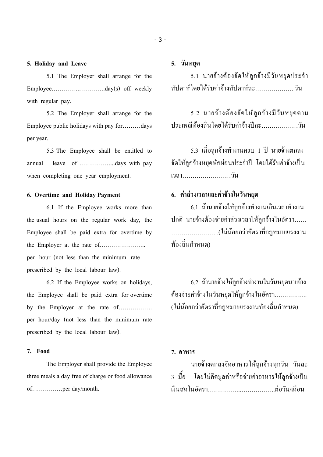**5. Holiday and Leave**

5.1 The Employer shall arrange for the Employee…………………………day(s) off weekly with regular pay.

5.2 The Employer shall arrange for the Employee public holidays with pay for………days per year.

5.3 The Employee shall be entitled to annual leave of ……………...days with pay when completing one year employment.

#### **6. Overtime and Holiday Payment**

6.1 If the Employee works more than the usual hours on the regular work day, the Employee shall be paid extra for overtime by the Employer at the rate of………………….. per hour (not less than the minimum rate prescribed by the local labour law).

6.2 If the Employee works on holidays, the Employee shall be paid extra for overtime by the Employer at the rate of…………….. per hour/day (not less than the minimum rate prescribed by the local labour law).

#### **7. Food**

The Employer shall provide the Employee three meals a day free of charge or food allowance of……………per day/month.

# **5. วันหยุด**

5.1 นายจ้างต้องจัดให้ลูกจ้างมีวันหยุดประจำ  $\overline{a}$  $\overline{a}$  $\overline{a}$ สัปดาห์โดยใด้รับค่าจ้างสัปดาห์ละ……………… วัน

5.2 นายจ้างต้องจัดให้ลูกจ้างมีวันหยุดตาม  $\overline{a}$  $\overline{a}$  $\overline{a}$ ประเพณีท องถิ่นโดยได รับคาจ างปละ………………วัน  $\overline{a}$ 

5.3 เมื่อลูกจ้างทำงานครบ 1 ปี นายจ้างตกลง จัดให้ลูกจ้างหยุดพักผ่อนประจำปี โดยใด้รับค่าจ้างเป็น<br>เวลา………………………วัน  $\overline{a}$ 

# **6. คาลวงเวลาและคาจางในวันหยุด**

6.1 ถ้านายจ้างให้ลูกจ้างทำงานเกินเวลาทำงาน  $\overline{\phantom{a}}$  $\overline{\phantom{a}}$ ปกติ นายจ้างต้องจ่ายค่าล่วงเวลาให้ลูกจ้างในอัตรา......  $\ddot{\phantom{a}}$ ……………….…..(ไมน อยกวาอัตราที่กฎหมายแรงงาน  $\ddot{\phantom{a}}$ ท องถิ่นกําหนด)  $\overline{a}$ 

6.2 ถ้านายจ้างให้ลูกจ้างทำงานในวันหยุดนายจ้าง  $\ddot{\text{}}$  ต้องจ่ายค่าจ้างในวันหยุดให้ลูกจ้างในอัตรา……………  $\ddot{\phantom{a}}$ (ไม่น้อยกว่าอัตราที่กฎหมายแรงงานท้องถิ่นกำหนด)  $\overline{a}$  $\overline{a}$ 

#### **7. อาหาร**

นายจ างตกลงจัดอาหารให ลูกจ างทุกวัน วันละ  $\overline{a}$  $\overline{a}$ 3 มื้อ โดยใม่กิดมูลค่าหรือจ่ายค่าอาหารให้ลูกจ้างเป็น เงินสดในอัตรา……………..……………..ตอวัน/เดือน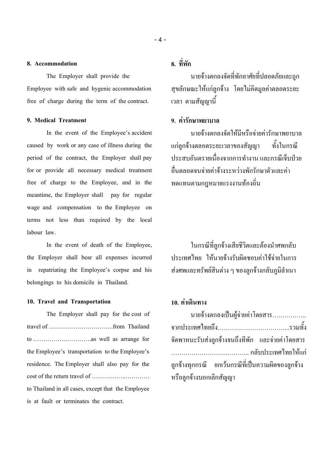#### **8. Accommodation**

The Employer shall provide the Employee with safe and hygenic accommodation free of charge during the term of the contract.

#### **9. Medical Treatment**

In the event of the Employee's accident caused by work or any case of illness during the period of the contract, the Employer shall pay for or provide all necessary medical treatment free of charge to the Employee, and in the meantime, the Employer shall pay for regular wage and compensation to the Employee on terms not less than required by the local labour law.

In the event of death of the Employee, the Employer shall bear all expenses incurred in repatriating the Employee's corpse and his belongings to his domicile in Thailand.

#### **10. Travel and Transportation**

The Employer shall pay for the cost of travel of …………………………..from Thailand to …………….………….as well as arrange for the Employee's transportation to the Employee's residence. The Employer shall also pay for the cost of the return travel of ……………..………… to Thailand in all cases, except that the Employee is at fault or terminates the contract.

# **8. ที่พัก**

นายจ างตกลงจัดที่พักอาศัยที่ปลอดภัยและถูก ֖֖֚֚֚֚֚֚֚֚֚֡֝֝<br>֧֖֖֧ׅ֖֧ׅ֖֧֪֪֪֪֪֪ׅ֦֖֧֪֪֪֪֪֪֪֪֪֪֪֪֪֪֪֪֪֪֪֪֪֪֪֪֪֪֪ׅ֦֚֚֚֚֚֚֚֚֚֚֚֚֚֚֚֚֚֚֚֚֚֚֝֝֝֝֝֝ สุขลักษณะให แกลูกจ าง โดยไมคิดมูลคาตลอดระยะ  $\overline{\phantom{a}}$ เวลา ตามสัญญานี้

## **9. คารักษาพยาบาล**

นายจ างตกลงจัดให มีหรือจายคารักษาพยาบาล  $\overline{a}$ แกลูกจ างตลอดระยะเวลาของสัญญา ทั้งในกรณี ประสบอันตรายเนื่องจากการทำงาน และกรณีเจ็บป่วย อื่นตลอดจนจ่ายค่าจ้างระหว่างพักรักษาตัวและค่า  $\overline{\phantom{a}}$ ทดแทนตามกฎหมายแรงงานท องถิ่น 

ในกรณีที่ลูกจ้างเสียชีวิตและต้องนำศพกลับ  $\ddot{\phantom{a}}$ ประเทศไทย ให้นายจ้างรับผิดชอบค่าใช้จ่ายในการ  $\overline{\phantom{a}}$ ส่งศพและทรัพย์สินต่าง ๆ ของลูกจ้างกลับภูมิลำเนา  $\overline{\phantom{a}}$ 

# **10. คาเดินทาง**

| นายจ้างตกลงเป็นผู้จ่ายค่าโดยสาร                     |
|-----------------------------------------------------|
|                                                     |
| จัดพาหนะรับส่งลูกจ้างจนถึงที่พัก และจ่ายค่าโดยสาร   |
|                                                     |
| ี ลูกจ้างทุกกรณี ยกเว้นกรณีที่เป็นความผิดของลูกจ้าง |
| หรือถูกจ้างบอกเลิกสัญญา                             |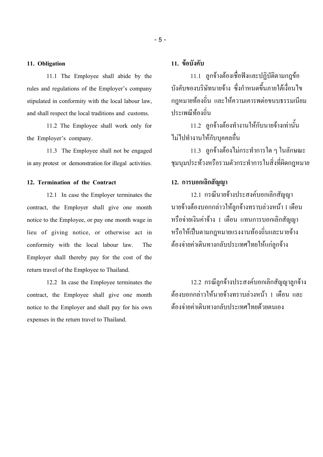### **11. Obligation**

11.1 The Employee shall abide by the rules and regulations of the Employer's company stipulated in conformity with the local labour law, and shall respect the local traditions and customs.

11.2 The Employee shall work only for the Employer's company.

11.3 The Employee shall not be engaged in any protest or demonstration for illegal activities.

#### **12. Termination of the Contract**

12.1 In case the Employer terminates the contract, the Employer shall give one month notice to the Employee, or pay one month wage in lieu of giving notice, or otherwise act in conformity with the local labour law. The Employer shall thereby pay for the cost of the return travel of the Employee to Thailand.

12.2 In case the Employee terminates the contract, the Employee shall give one month notice to the Employer and shall pay for his own expenses in the return travel to Thailand.

## **11. ขอบังคับ**

11.1 ลูกจ างต องเชื่อฟงและปฏิบัติตามกฎข  $\overline{\phantom{a}}$  $\overline{a}$  $\ddot{\phantom{a}}$ ี 11.1 ลูกจ้างต้องเชื่อฟังและปฏิบัติตามกฎข้อ<br>บังคับของบริษัทนายจ้าง ซึ่งกำหนดขึ้นภายใต้เงื่อนไข ֖֖֚֚֚֚֚֚֚֚֚֡֝֝<br>֧֖֖֧ׅ֖֧ׅ֖֧֪֪֪֪֪֪ׅ֦֖֧֪֪֪֪֪֪֪֪֪֪֪֪֪֪֪֪֪֪֪֪֪֪֪֪֪֪֪ׅ֦֚֚֚֚֚֚֚֚֚֚֚֚֚֚֚֚֚֚֚֚֚֚֝֝֝֝֝֝ กฎหมายท องถิ่น และให ความเคารพตอขนบธรรมเนียม ประเพณีท องถิ่น  $\ddot{\phantom{a}}$ 

11.2 ลูกจ างต องทํางานให กับนายจ างเทานั้น  $\overline{\phantom{a}}$  $\overline{a}$  $\overline{\phantom{a}}$ ไมไปทํางานให กับบุคคลอื่น

11.3 ลูกจ างต องไมกระทําการใด ๆ ในลักษณะ  $\overline{\phantom{a}}$ ชุมนุมประท วงหรือรวมตัวกระทําการในสิ่งที่ผิดกฎหมาย

## **12. การบอกเลิกสัญญา**

12.1 กรณีนายจ างประสงคบอกเลิกสัญญา นายจ้างต้องบอกกล่าวให้ลูกจ้างทราบล่วงหน้า 1 เดือน  $\overline{\phantom{a}}$ ֖֚֚֚֚֚֡<br>֧֚֚֚֝ ֖֖֚֚֚֚֚֚֚֚֚֡֝֝<br>֧֖֖֧ׅ֖֧ׅ֖֧֪֪֪֪֪֪ׅ֦֖֧֪֪֪֪֪֪֪֪֪֪֪֪֪֪֪֪֪֪֪֪֪֪֪֪֪֪֪ׅ֦֚֚֚֚֚֚֚֚֚֚֚֚֚֚֚֚֚֚֚֚֚֚֝֝֝֝֝֝  $\overline{\phantom{a}}$ หรือจายเงินคาจ าง 1 เดือน แทนการบอกเลิกสัญญา  $\overline{a}$ หรือให้เป็นตามกฎหมายแรงงานท้องถิ่นและนายจ้าง  $\overline{a}$  ต้องจ่ายค่าเดินทางกลับประเทศไทยให้แก่ลูกจ้าง  $\ddot{\phantom{a}}$  $\overline{a}$ 

12.2 กรณีลูกจ้างประสงค์บอกเลิกสัญญาลูกจ้าง  $\overline{\phantom{a}}$ ต้องบอกกล่าวให้นายจ้างทราบล่วงหน้า 1 เดือน และ  $\ddot{\phantom{a}}$ ֖֚֚֚֚֚֡<br>֧֚֚֚֝  $\overline{\phantom{a}}$ ต องจายคาเดินทางกลับประเทศไทยด วยตนเอง  $\ddot{\phantom{a}}$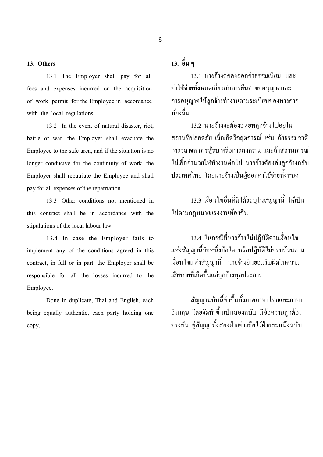#### **13. Others**

13.1 The Employer shall pay for all fees and expenses incurred on the acquisition of work permit for the Employee in accordance with the local regulations.

13.2 In the event of natural disaster, riot, battle or war, the Employer shall evacuate the Employee to the safe area, and if the situation is no longer conducive for the continuity of work, the Employer shall repatriate the Employee and shall pay for all expenses of the repatriation.

13.3 Other conditions not mentioned in this contract shall be in accordance with the stipulations of the local labour law.

13.4 In case the Employer fails to implement any of the conditions agreed in this contract, in full or in part, the Employer shall be responsible for all the losses incurred to the Employee.

Done in duplicate, Thai and English, each being equally authentic, each party holding one copy.

# **13. อื่น ๆ**

13.1 นายจ างตกลงออกคาธรรมเนียม และ  $\overline{a}$ คาใช จายทั้งหมดเกี่ยวกับการยื่นคําขออนุญาตและ การอนุญาตให ลูกจ างทํางานตามระเบียบของทางการ ท องถิ่น  $\ddot{\phantom{a}}$ 

13.2 นายจ างจะต องอพยพลูกจ างไปอยูใน ֖֖֚֚֚֚֚֚֚֚֚֡֝֝<br>֧֖֖֧֚֚֚֚֚֚֚֚֚֚֚֚֚֚֚֚֚֚֚֚֝֝֝<br>֧֚֝  $\overline{a}$ สถานที่ปลอดภัย เมื่อเกิดวิกฤตการณ เชน ภัยธรรมชาติ การจลาจล การสู้รบ หรือการสงคราม และถ้าสถานการณ์ ใม่เอื้ออำนวยให้ทำงานต่อไป นายจ้างต้องส่งลูกจ้างกลับ ֖֖֚֚֚֚֚֚֚֡֕֝֝<br>֧֚֝<br>֧֚֚֚֝  $\overline{a}$ ประเทศไทย โดยนายจ้างเป็นผู้ออกค่าใช้จ่ายทั้งหมด

13.3 เงื่อนไขอื่นที่มิได ระบุในสัญญานี้ ใหเป นไปตามกฎหมายแรงงานท ไปตามกฎหมายแรงงานท้องถิ่น

13.4 ในกรณีที่นายจ างไมปฏิบัติตามเงื่อนไข แห่งสัญญานี้ข้อหนึ่งข้อใด หรือปฏิบัติไม่ครบถ้วนตาม  $\overline{a}$ เงื่อนไขแหงสัญญานี้ นายจ างยินยอมรับผิดในความ  $\overline{\phantom{a}}$ เสียหายที่เกิดขึ้นแกลูกจ างทุกประการ ֖֖֚֚֚֚֚֚֚֚֚֡֝֝<br>֧֖֖֧֚֚֚֚֚֚֚֚֚֚֚֚֚֚֚֚֚֚֚֚֝֝֝<br>֧֚֝

สัญญาฉบับนี้ทําขึ้นทั้งภาคภาษาไทยและภาษา อังกฤษ โดยจัดทำขึ้นเป็นสองฉบับ มีข้อความถูกต้อง  $\overline{a}$  $\overline{a}$ ตรงกัน คูสัญญาทั้งสองฝายตางถือไวฝายละหนึ่งฉบับ